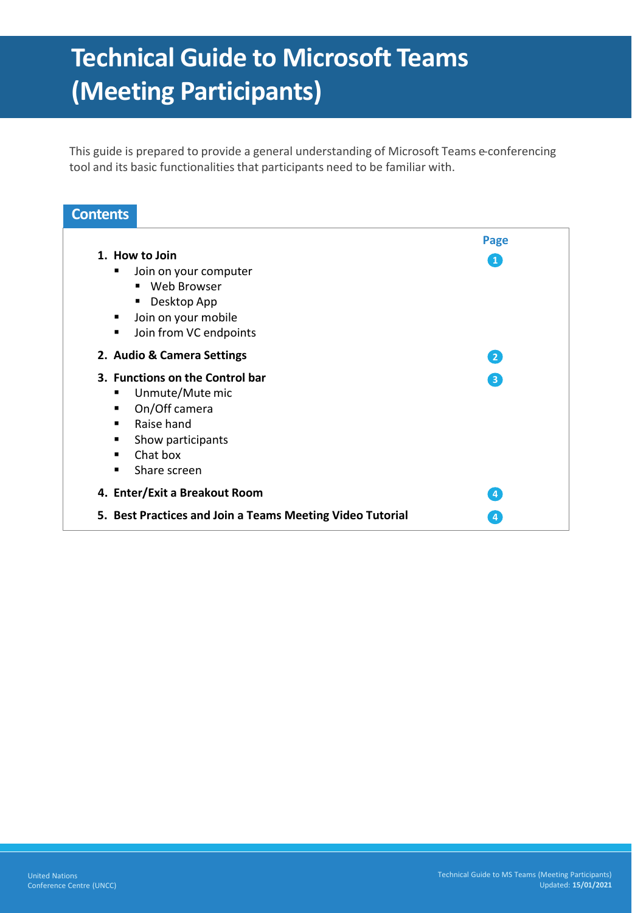# **Technical Guide to Microsoft Teams (Meeting Participants)**

This guide is prepared to provide a general understanding of Microsoft Teams e-conferencing tool and its basic functionalities that participants need to be familiar with.

### **Page 1. How to Join** ■ Join on your computer ■ Web Browser ■ Desktop App ■ Join on your mobile ■ Join from VC endpoints **2. Audio & Camera Settings 3. Functions on the Control bar** ■ Unmute/Mute mic ▪ On/Off camera ■ Raise hand ■ Show participants ■ Chat box ■ Share screen **4. Enter/Exit a Breakout Room 5. Best Practices and Join a Teams Meeting Video Tutorial Contents 1 2 3 4 4**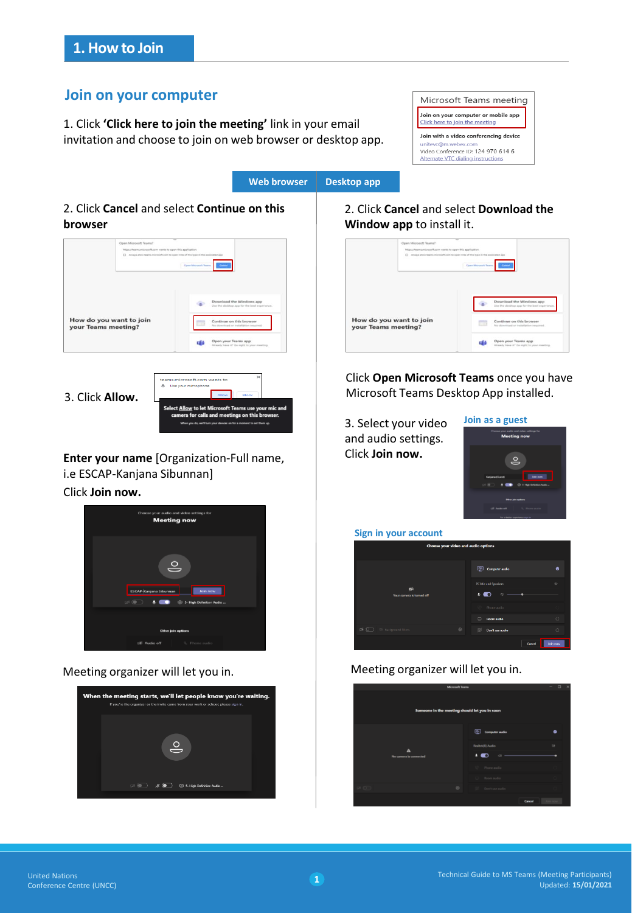## **Join on your computer**

1. Click **'Click here to join the meeting'** link in your email invitation and choose to join on web browser or desktop app.





2. Click **Cancel** and select **Continue on this browser**

|                                                | [7] Always allow teams microsoft com to open links of this type in the associated app<br>Open Microsoft Teams |
|------------------------------------------------|---------------------------------------------------------------------------------------------------------------|
|                                                | Download the Windows app<br>Use the desirtor app for the best experience.                                     |
| How do you want to join<br>your Teams meeting? | Continue on this browser<br>No chownload or installation required.                                            |
|                                                | Open your Teams app<br>s de<br>Aiready have it? Go right to your meeting.                                     |

3. Click **Allow.** 



**Enter your name** [Organization-Full name, i.e ESCAP-Kanjana Sibunnan]

Click **Join now.**



Meeting organizer will let you in.



## 2. Click **Cancel** and select **Download the Window app** to install it.

|                                                | Https://fasmcmiorcsoft.com wants to open this application.<br>[] Allowys aftern teams/microsoft.com to open links of this type in the associated app | Down Microsoft Teams |                                                                           |
|------------------------------------------------|------------------------------------------------------------------------------------------------------------------------------------------------------|----------------------|---------------------------------------------------------------------------|
|                                                |                                                                                                                                                      |                      | Download the Windows app<br>Use the dealthou app for the best experience. |
| How do you want to join<br>your Teams meeting? |                                                                                                                                                      |                      | Continue on this browser                                                  |
|                                                |                                                                                                                                                      |                      | No chownload or installation required.                                    |

Click **Open Microsoft Teams** once you have Microsoft Teams Desktop App installed.

3. Select your video and audio settings. Click **Join now.**



#### **Sign in your account**

| Choose your video and audio options                                  |                                                |  |  |  |
|----------------------------------------------------------------------|------------------------------------------------|--|--|--|
|                                                                      | 囤<br><b>Computer audio</b><br>۰                |  |  |  |
| ø<br>Your camera is turned off                                       | PC Mic and Speakers<br>#<br>o<br>$\Rightarrow$ |  |  |  |
|                                                                      | Phone audio                                    |  |  |  |
|                                                                      | $\circ$<br>$\Box$<br>Room audio                |  |  |  |
| $\emptyset$ $\emptyset$ $\Box$ $\cong$ Background filters<br>$\odot$ | ø<br>$\circ$<br>Don't use audio                |  |  |  |
|                                                                      | Join now<br>Cancel                             |  |  |  |

## Meeting organizer will let you in.

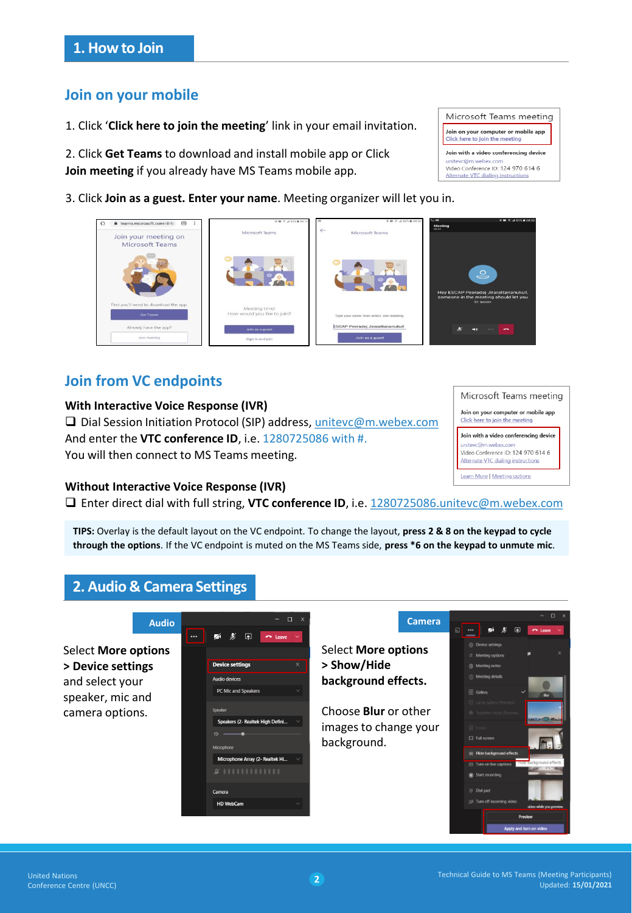## **Join on your mobile**

1. Click '**Click here to join the meeting**' link in your email invitation.

2. Click **Get Teams** to download and install mobile app or Click **Join meeting** if you already have MS Teams mobile app.

3. Click **Join as a guest. Enter your name**. Meeting organizer will let you in.



# **Join from VC endpoints**

### **With Interactive Voice Response (IVR)**

❑ Dial Session Initiation Protocol (SIP) address, [unitevc@m.webex.com](mailto:unitevc@m.webex.com) And enter the **VTC conference ID**, i.e. 1280725086 with #. You will then connect to MS Teams meeting.

### **Without Interactive Voice Response (IVR)**

❑ Enter direct dial with full string, **VTC conference ID**, i.e. [1280725086.unitevc@m.webex.com](mailto:1280725086.unitevc@m.webex.com)

**TIPS:** Overlay is the default layout on the VC endpoint. To change the layout, **press 2 & 8 on the keypad to cycle through the options**. If the VC endpoint is muted on the MS Teams side, **press \*6 on the keypad to unmute mic**.

## **2. Audio & Camera Settings**





Microsoft Teams meeting Join on your computer or mobile app Click here to join the meeting Join with a video conferencing device vc@m.webex.c Video Conference ID: 124 970 614 6 Alternate VTC dialing instruction **Learn More | Meeting options**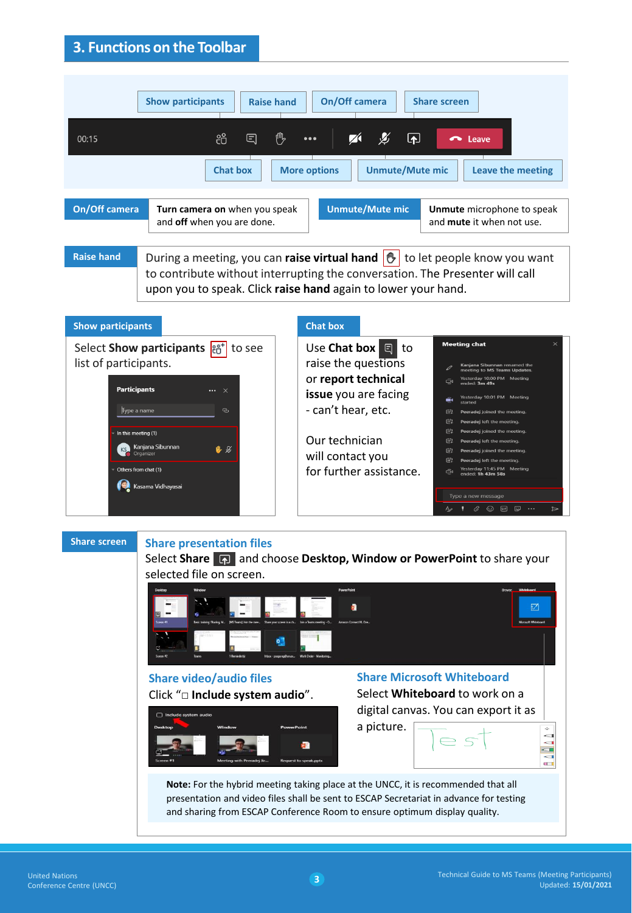# **3. Functions on the Toolbar**

| <b>Show participants</b><br><b>Raise hand</b><br>සී<br>囯<br>00:15<br><b>Chat box</b>                                                                                                                                                                                                                          | On/Off camera<br><b>Share screen</b><br>ጦ<br>$\boxed{\blacktriangle}$<br>$\sim$ Leave<br>$\bullet\bullet\bullet$<br>Leave the meeting<br><b>More options</b><br><b>Unmute/Mute mic</b>                                                                                                                                                                                                                                                                                                                                                                                                                                                                                                                                                                               |  |  |  |
|---------------------------------------------------------------------------------------------------------------------------------------------------------------------------------------------------------------------------------------------------------------------------------------------------------------|----------------------------------------------------------------------------------------------------------------------------------------------------------------------------------------------------------------------------------------------------------------------------------------------------------------------------------------------------------------------------------------------------------------------------------------------------------------------------------------------------------------------------------------------------------------------------------------------------------------------------------------------------------------------------------------------------------------------------------------------------------------------|--|--|--|
| <b>On/Off camera</b><br>Turn camera on when you speak<br>and off when you are done.                                                                                                                                                                                                                           | <b>Unmute/Mute mic</b><br>Unmute microphone to speak<br>and mute it when not use.                                                                                                                                                                                                                                                                                                                                                                                                                                                                                                                                                                                                                                                                                    |  |  |  |
| <b>Raise hand</b><br>During a meeting, you can raise virtual hand $ \mathcal{O} $ to let people know you want<br>to contribute without interrupting the conversation. The Presenter will call<br>upon you to speak. Click raise hand again to lower your hand.<br><b>Chat box</b><br><b>Show participants</b> |                                                                                                                                                                                                                                                                                                                                                                                                                                                                                                                                                                                                                                                                                                                                                                      |  |  |  |
| Select Show participants <sub>et</sub> +<br>to see<br>list of participants.<br><b>Participants</b><br>$\times$<br>Type a name<br>౷<br>In this meeting (1)<br>Kanjana Sibunnan<br>电区<br>Organizer<br>Others from chat (1)<br>Kasama Vidhayasai                                                                 | <b>Meeting chat</b><br>Use Chat box<br>$\Box$<br>to<br>raise the questions<br>Kanjana Sibunnan renamed the<br>meeting to MS Teams Updates.<br>or report technical<br>Yesterday 10:00 PM Meeting<br>Ő۹<br>ended: 3m 49s<br>issue you are facing<br>Yesterday 10:01 PM Meeting<br>ê<br>started<br>- can't hear, etc.<br>曲<br>Peeradej joined the meeting.<br>曲<br>Peeradej left the meeting.<br>曲<br>Peeradej joined the meeting.<br>Our technician<br>曲<br>Peeradej left the meeting.<br>曲<br>Peeradej joined the meeting.<br>will contact you<br>曲<br>Peeradej left the meeting.<br>Yesterday 11:45 PM Meeting<br>for further assistance.<br>⊖<br>ended: 1h 43m 58s<br>Type a new message<br>$\mathbf{1}$ $\emptyset$ $\odot$ or $\boxdot$ $\cdots$<br>$\Rightarrow$ |  |  |  |

**Share screen**

### **Share presentation files**

Select **Share** and choose **Desktop, Window or PowerPoint** to share your selected file on screen.



presentation and video files shall be sent to ESCAP Secretariat in advance for testing and sharing from ESCAP Conference Room to ensure optimum display quality.